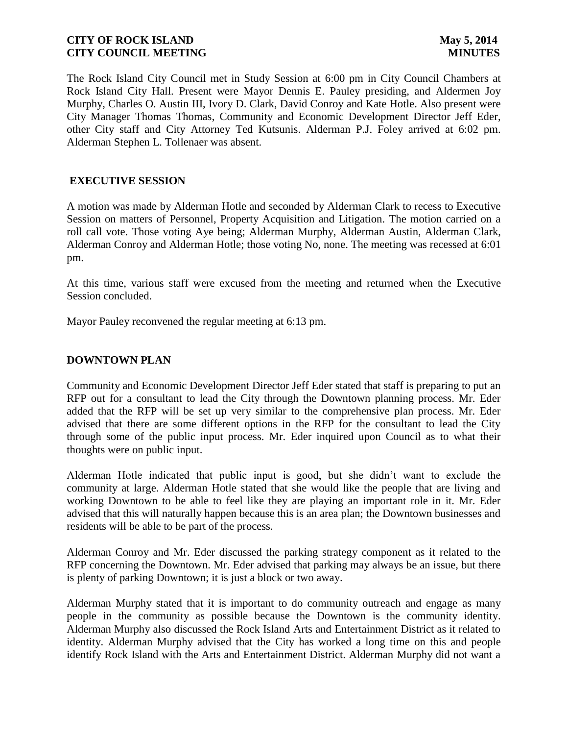The Rock Island City Council met in Study Session at 6:00 pm in City Council Chambers at Rock Island City Hall. Present were Mayor Dennis E. Pauley presiding, and Aldermen Joy Murphy, Charles O. Austin III, Ivory D. Clark, David Conroy and Kate Hotle. Also present were City Manager Thomas Thomas, Community and Economic Development Director Jeff Eder, other City staff and City Attorney Ted Kutsunis. Alderman P.J. Foley arrived at 6:02 pm. Alderman Stephen L. Tollenaer was absent.

### **EXECUTIVE SESSION**

A motion was made by Alderman Hotle and seconded by Alderman Clark to recess to Executive Session on matters of Personnel, Property Acquisition and Litigation. The motion carried on a roll call vote. Those voting Aye being; Alderman Murphy, Alderman Austin, Alderman Clark, Alderman Conroy and Alderman Hotle; those voting No, none. The meeting was recessed at 6:01 pm.

At this time, various staff were excused from the meeting and returned when the Executive Session concluded.

Mayor Pauley reconvened the regular meeting at 6:13 pm.

### **DOWNTOWN PLAN**

Community and Economic Development Director Jeff Eder stated that staff is preparing to put an RFP out for a consultant to lead the City through the Downtown planning process. Mr. Eder added that the RFP will be set up very similar to the comprehensive plan process. Mr. Eder advised that there are some different options in the RFP for the consultant to lead the City through some of the public input process. Mr. Eder inquired upon Council as to what their thoughts were on public input.

Alderman Hotle indicated that public input is good, but she didn't want to exclude the community at large. Alderman Hotle stated that she would like the people that are living and working Downtown to be able to feel like they are playing an important role in it. Mr. Eder advised that this will naturally happen because this is an area plan; the Downtown businesses and residents will be able to be part of the process.

Alderman Conroy and Mr. Eder discussed the parking strategy component as it related to the RFP concerning the Downtown. Mr. Eder advised that parking may always be an issue, but there is plenty of parking Downtown; it is just a block or two away.

Alderman Murphy stated that it is important to do community outreach and engage as many people in the community as possible because the Downtown is the community identity. Alderman Murphy also discussed the Rock Island Arts and Entertainment District as it related to identity. Alderman Murphy advised that the City has worked a long time on this and people identify Rock Island with the Arts and Entertainment District. Alderman Murphy did not want a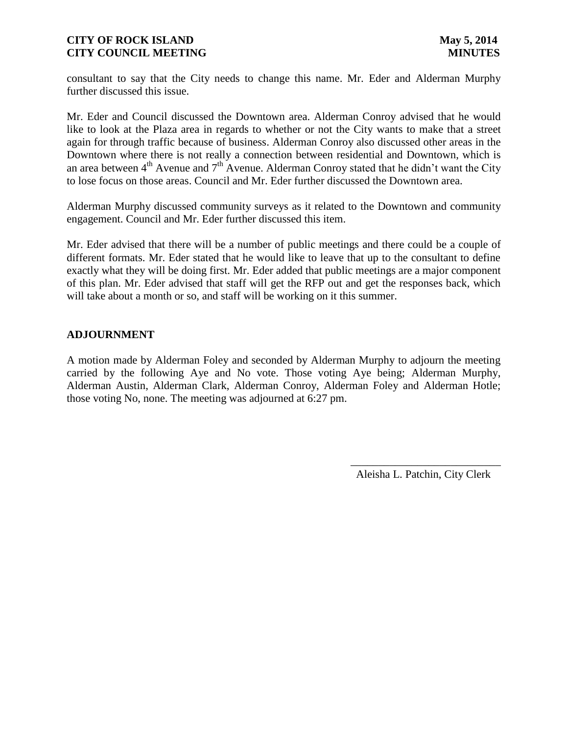consultant to say that the City needs to change this name. Mr. Eder and Alderman Murphy further discussed this issue.

Mr. Eder and Council discussed the Downtown area. Alderman Conroy advised that he would like to look at the Plaza area in regards to whether or not the City wants to make that a street again for through traffic because of business. Alderman Conroy also discussed other areas in the Downtown where there is not really a connection between residential and Downtown, which is an area between  $4<sup>th</sup>$  Avenue and  $7<sup>th</sup>$  Avenue. Alderman Conroy stated that he didn't want the City to lose focus on those areas. Council and Mr. Eder further discussed the Downtown area.

Alderman Murphy discussed community surveys as it related to the Downtown and community engagement. Council and Mr. Eder further discussed this item.

Mr. Eder advised that there will be a number of public meetings and there could be a couple of different formats. Mr. Eder stated that he would like to leave that up to the consultant to define exactly what they will be doing first. Mr. Eder added that public meetings are a major component of this plan. Mr. Eder advised that staff will get the RFP out and get the responses back, which will take about a month or so, and staff will be working on it this summer.

### **ADJOURNMENT**

A motion made by Alderman Foley and seconded by Alderman Murphy to adjourn the meeting carried by the following Aye and No vote. Those voting Aye being; Alderman Murphy, Alderman Austin, Alderman Clark, Alderman Conroy, Alderman Foley and Alderman Hotle; those voting No, none. The meeting was adjourned at 6:27 pm.

Aleisha L. Patchin, City Clerk

 $\frac{1}{2}$  , and the set of the set of the set of the set of the set of the set of the set of the set of the set of the set of the set of the set of the set of the set of the set of the set of the set of the set of the set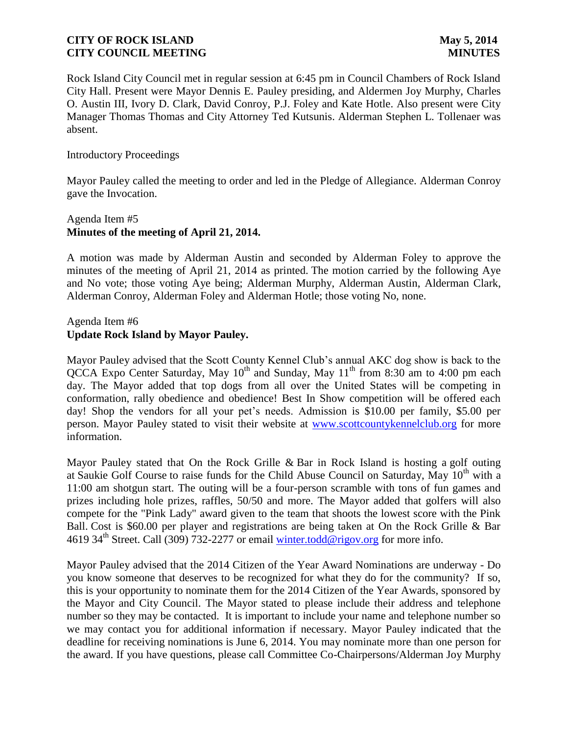Rock Island City Council met in regular session at 6:45 pm in Council Chambers of Rock Island City Hall. Present were Mayor Dennis E. Pauley presiding, and Aldermen Joy Murphy, Charles O. Austin III, Ivory D. Clark, David Conroy, P.J. Foley and Kate Hotle. Also present were City Manager Thomas Thomas and City Attorney Ted Kutsunis. Alderman Stephen L. Tollenaer was absent.

### Introductory Proceedings

Mayor Pauley called the meeting to order and led in the Pledge of Allegiance. Alderman Conroy gave the Invocation.

## Agenda Item #5 **Minutes of the meeting of April 21, 2014.**

A motion was made by Alderman Austin and seconded by Alderman Foley to approve the minutes of the meeting of April 21, 2014 as printed. The motion carried by the following Aye and No vote; those voting Aye being; Alderman Murphy, Alderman Austin, Alderman Clark, Alderman Conroy, Alderman Foley and Alderman Hotle; those voting No, none.

### Agenda Item #6 **Update Rock Island by Mayor Pauley.**

Mayor Pauley advised that the Scott County Kennel Club's annual AKC dog show is back to the QCCA Expo Center Saturday, May  $10^{th}$  and Sunday, May  $11^{th}$  from 8:30 am to 4:00 pm each day. The Mayor added that top dogs from all over the United States will be competing in conformation, rally obedience and obedience! Best In Show competition will be offered each day! Shop the vendors for all your pet's needs. Admission is \$10.00 per family, \$5.00 per person. Mayor Pauley stated to visit their website at [www.scottcountykennelclub.org](http://www.scottcountykennelclub.org/) for more information.

Mayor Pauley stated that On the Rock Grille & Bar in Rock Island is hosting a golf outing at Saukie Golf Course to raise funds for the Child Abuse Council on Saturday, May 10<sup>th</sup> with a 11:00 am shotgun start. The outing will be a four-person scramble with tons of fun games and prizes including hole prizes, raffles, 50/50 and more. The Mayor added that golfers will also compete for the "Pink Lady" award given to the team that shoots the lowest score with the Pink Ball. Cost is \$60.00 per player and registrations are being taken at On the Rock Grille & Bar 4619 34<sup>th</sup> Street. Call (309) 732-2277 or email [winter.todd@rigov.org](mailto:winter.todd@rigov.org) for more info.

Mayor Pauley advised that the 2014 Citizen of the Year Award Nominations are underway - Do you know someone that deserves to be recognized for what they do for the community? If so, this is your opportunity to nominate them for the 2014 Citizen of the Year Awards, sponsored by the Mayor and City Council. The Mayor stated to please include their address and telephone number so they may be contacted. It is important to include your name and telephone number so we may contact you for additional information if necessary. Mayor Pauley indicated that the deadline for receiving nominations is June 6, 2014. You may nominate more than one person for the award. If you have questions, please call Committee Co-Chairpersons/Alderman Joy Murphy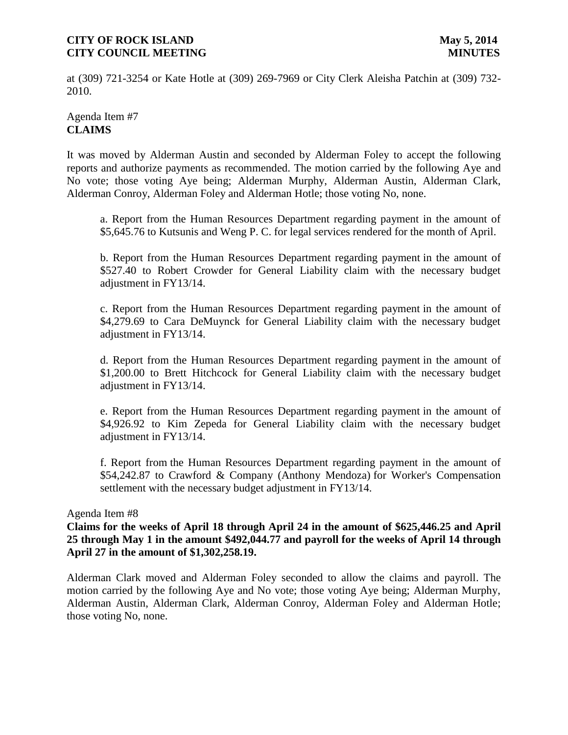at (309) 721-3254 or Kate Hotle at (309) 269-7969 or City Clerk Aleisha Patchin at (309) 732- 2010.

# Agenda Item #7 **CLAIMS**

It was moved by Alderman Austin and seconded by Alderman Foley to accept the following reports and authorize payments as recommended. The motion carried by the following Aye and No vote; those voting Aye being; Alderman Murphy, Alderman Austin, Alderman Clark, Alderman Conroy, Alderman Foley and Alderman Hotle; those voting No, none.

a. Report from the Human Resources Department regarding payment in the amount of \$5,645.76 to Kutsunis and Weng P. C. for legal services rendered for the month of April.

b. Report from the Human Resources Department regarding payment in the amount of \$527.40 to Robert Crowder for General Liability claim with the necessary budget adjustment in FY13/14.

c. Report from the Human Resources Department regarding payment in the amount of \$4,279.69 to Cara DeMuynck for General Liability claim with the necessary budget adjustment in FY13/14.

d. Report from the Human Resources Department regarding payment in the amount of \$1,200.00 to Brett Hitchcock for General Liability claim with the necessary budget adjustment in FY13/14.

e. Report from the Human Resources Department regarding payment in the amount of \$4,926.92 to Kim Zepeda for General Liability claim with the necessary budget adjustment in FY13/14.

f. Report from the Human Resources Department regarding payment in the amount of \$54,242.87 to Crawford & Company (Anthony Mendoza) for Worker's Compensation settlement with the necessary budget adjustment in FY13/14.

### Agenda Item #8

**Claims for the weeks of April 18 through April 24 in the amount of \$625,446.25 and April 25 through May 1 in the amount \$492,044.77 and payroll for the weeks of April 14 through April 27 in the amount of \$1,302,258.19.** 

Alderman Clark moved and Alderman Foley seconded to allow the claims and payroll. The motion carried by the following Aye and No vote; those voting Aye being; Alderman Murphy, Alderman Austin, Alderman Clark, Alderman Conroy, Alderman Foley and Alderman Hotle; those voting No, none.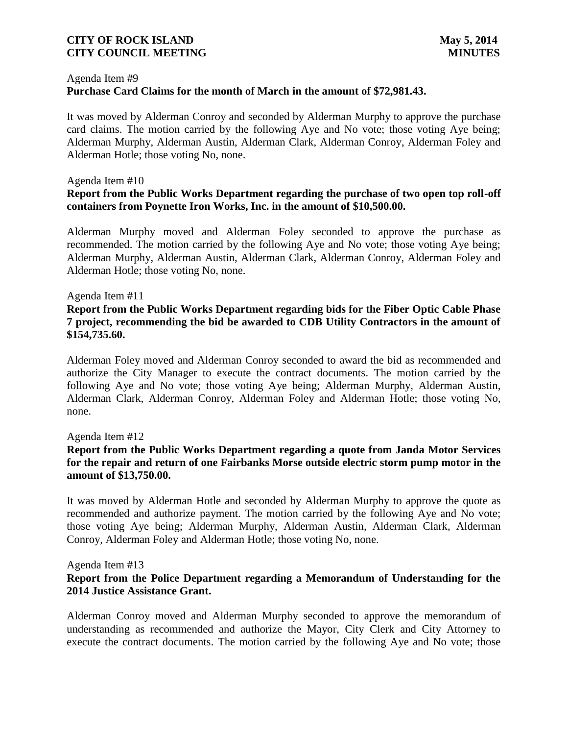#### Agenda Item #9

## **Purchase Card Claims for the month of March in the amount of \$72,981.43.**

It was moved by Alderman Conroy and seconded by Alderman Murphy to approve the purchase card claims. The motion carried by the following Aye and No vote; those voting Aye being; Alderman Murphy, Alderman Austin, Alderman Clark, Alderman Conroy, Alderman Foley and Alderman Hotle; those voting No, none.

#### Agenda Item #10

### **Report from the Public Works Department regarding the purchase of two open top roll-off containers from Poynette Iron Works, Inc. in the amount of \$10,500.00.**

Alderman Murphy moved and Alderman Foley seconded to approve the purchase as recommended. The motion carried by the following Aye and No vote; those voting Aye being; Alderman Murphy, Alderman Austin, Alderman Clark, Alderman Conroy, Alderman Foley and Alderman Hotle; those voting No, none.

#### Agenda Item #11

## **Report from the Public Works Department regarding bids for the Fiber Optic Cable Phase 7 project, recommending the bid be awarded to CDB Utility Contractors in the amount of \$154,735.60.**

Alderman Foley moved and Alderman Conroy seconded to award the bid as recommended and authorize the City Manager to execute the contract documents. The motion carried by the following Aye and No vote; those voting Aye being; Alderman Murphy, Alderman Austin, Alderman Clark, Alderman Conroy, Alderman Foley and Alderman Hotle; those voting No, none.

#### Agenda Item #12

### **Report from the Public Works Department regarding a quote from Janda Motor Services for the repair and return of one Fairbanks Morse outside electric storm pump motor in the amount of \$13,750.00.**

It was moved by Alderman Hotle and seconded by Alderman Murphy to approve the quote as recommended and authorize payment. The motion carried by the following Aye and No vote; those voting Aye being; Alderman Murphy, Alderman Austin, Alderman Clark, Alderman Conroy, Alderman Foley and Alderman Hotle; those voting No, none.

#### Agenda Item #13

### **Report from the Police Department regarding a Memorandum of Understanding for the 2014 Justice Assistance Grant.**

Alderman Conroy moved and Alderman Murphy seconded to approve the memorandum of understanding as recommended and authorize the Mayor, City Clerk and City Attorney to execute the contract documents. The motion carried by the following Aye and No vote; those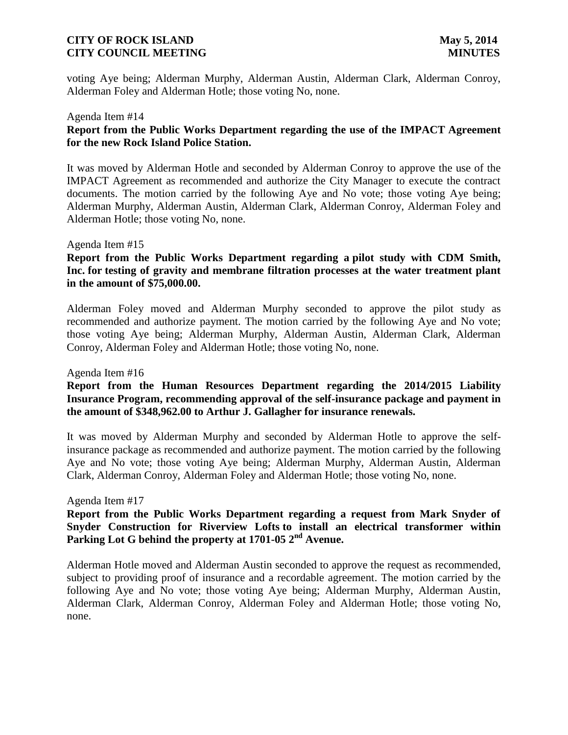voting Aye being; Alderman Murphy, Alderman Austin, Alderman Clark, Alderman Conroy, Alderman Foley and Alderman Hotle; those voting No, none.

# Agenda Item #14 **Report from the Public Works Department regarding the use of the IMPACT Agreement for the new Rock Island Police Station.**

It was moved by Alderman Hotle and seconded by Alderman Conroy to approve the use of the IMPACT Agreement as recommended and authorize the City Manager to execute the contract documents. The motion carried by the following Aye and No vote; those voting Aye being; Alderman Murphy, Alderman Austin, Alderman Clark, Alderman Conroy, Alderman Foley and Alderman Hotle; those voting No, none.

### Agenda Item #15

## **Report from the Public Works Department regarding a pilot study with CDM Smith, Inc. for testing of gravity and membrane filtration processes at the water treatment plant in the amount of \$75,000.00.**

Alderman Foley moved and Alderman Murphy seconded to approve the pilot study as recommended and authorize payment. The motion carried by the following Aye and No vote; those voting Aye being; Alderman Murphy, Alderman Austin, Alderman Clark, Alderman Conroy, Alderman Foley and Alderman Hotle; those voting No, none.

#### Agenda Item #16

## **Report from the Human Resources Department regarding the 2014/2015 Liability Insurance Program, recommending approval of the self-insurance package and payment in the amount of \$348,962.00 to Arthur J. Gallagher for insurance renewals.**

It was moved by Alderman Murphy and seconded by Alderman Hotle to approve the selfinsurance package as recommended and authorize payment. The motion carried by the following Aye and No vote; those voting Aye being; Alderman Murphy, Alderman Austin, Alderman Clark, Alderman Conroy, Alderman Foley and Alderman Hotle; those voting No, none.

#### Agenda Item #17

## **Report from the Public Works Department regarding a request from Mark Snyder of Snyder Construction for Riverview Lofts to install an electrical transformer within Parking Lot G behind the property at 1701-05 2nd Avenue.**

Alderman Hotle moved and Alderman Austin seconded to approve the request as recommended, subject to providing proof of insurance and a recordable agreement. The motion carried by the following Aye and No vote; those voting Aye being; Alderman Murphy, Alderman Austin, Alderman Clark, Alderman Conroy, Alderman Foley and Alderman Hotle; those voting No, none.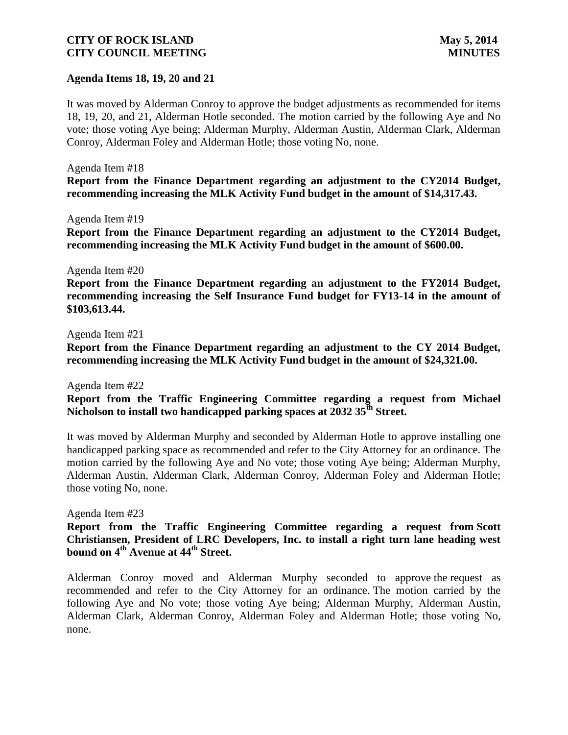### **Agenda Items 18, 19, 20 and 21**

It was moved by Alderman Conroy to approve the budget adjustments as recommended for items 18, 19, 20, and 21, Alderman Hotle seconded. The motion carried by the following Aye and No vote; those voting Aye being; Alderman Murphy, Alderman Austin, Alderman Clark, Alderman Conroy, Alderman Foley and Alderman Hotle; those voting No, none.

### Agenda Item #18

**Report from the Finance Department regarding an adjustment to the CY2014 Budget, recommending increasing the MLK Activity Fund budget in the amount of \$14,317.43.**

#### Agenda Item #19

**Report from the Finance Department regarding an adjustment to the CY2014 Budget, recommending increasing the MLK Activity Fund budget in the amount of \$600.00.**

#### Agenda Item #20

**Report from the Finance Department regarding an adjustment to the FY2014 Budget, recommending increasing the Self Insurance Fund budget for FY13-14 in the amount of \$103,613.44.**

#### Agenda Item #21

**Report from the Finance Department regarding an adjustment to the CY 2014 Budget, recommending increasing the MLK Activity Fund budget in the amount of \$24,321.00.**

Agenda Item #22

**Report from the Traffic Engineering Committee regarding a request from Michael Nicholson to install two handicapped parking spaces at 2032 35th Street.** 

It was moved by Alderman Murphy and seconded by Alderman Hotle to approve installing one handicapped parking space as recommended and refer to the City Attorney for an ordinance. The motion carried by the following Aye and No vote; those voting Aye being; Alderman Murphy, Alderman Austin, Alderman Clark, Alderman Conroy, Alderman Foley and Alderman Hotle; those voting No, none.

#### Agenda Item #23

**Report from the Traffic Engineering Committee regarding a request from Scott Christiansen, President of LRC Developers, Inc. to install a right turn lane heading west bound on 4th Avenue at 44th Street.**

Alderman Conroy moved and Alderman Murphy seconded to approve the request as recommended and refer to the City Attorney for an ordinance. The motion carried by the following Aye and No vote; those voting Aye being; Alderman Murphy, Alderman Austin, Alderman Clark, Alderman Conroy, Alderman Foley and Alderman Hotle; those voting No, none.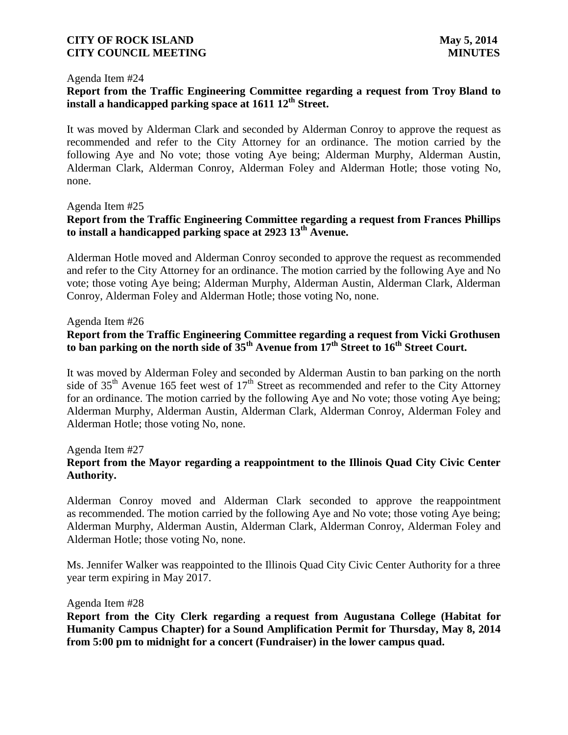### Agenda Item #24

# **Report from the Traffic Engineering Committee regarding a request from Troy Bland to install a handicapped parking space at 1611 12th Street.**

It was moved by Alderman Clark and seconded by Alderman Conroy to approve the request as recommended and refer to the City Attorney for an ordinance. The motion carried by the following Aye and No vote; those voting Aye being; Alderman Murphy, Alderman Austin, Alderman Clark, Alderman Conroy, Alderman Foley and Alderman Hotle; those voting No, none.

### Agenda Item #25

# **Report from the Traffic Engineering Committee regarding a request from Frances Phillips to install a handicapped parking space at 2923 13th Avenue.**

Alderman Hotle moved and Alderman Conroy seconded to approve the request as recommended and refer to the City Attorney for an ordinance. The motion carried by the following Aye and No vote; those voting Aye being; Alderman Murphy, Alderman Austin, Alderman Clark, Alderman Conroy, Alderman Foley and Alderman Hotle; those voting No, none.

### Agenda Item #26

## **Report from the Traffic Engineering Committee regarding a request from Vicki Grothusen to ban parking on the north side of 35th Avenue from 17th Street to 16th Street Court.**

It was moved by Alderman Foley and seconded by Alderman Austin to ban parking on the north side of  $35<sup>th</sup>$  Avenue 165 feet west of  $17<sup>th</sup>$  Street as recommended and refer to the City Attorney for an ordinance. The motion carried by the following Aye and No vote; those voting Aye being; Alderman Murphy, Alderman Austin, Alderman Clark, Alderman Conroy, Alderman Foley and Alderman Hotle; those voting No, none.

#### Agenda Item #27

# **Report from the Mayor regarding a reappointment to the Illinois Quad City Civic Center Authority.**

Alderman Conroy moved and Alderman Clark seconded to approve the reappointment as recommended. The motion carried by the following Aye and No vote; those voting Aye being; Alderman Murphy, Alderman Austin, Alderman Clark, Alderman Conroy, Alderman Foley and Alderman Hotle; those voting No, none.

Ms. Jennifer Walker was reappointed to the Illinois Quad City Civic Center Authority for a three year term expiring in May 2017.

#### Agenda Item #28

**Report from the City Clerk regarding a request from Augustana College (Habitat for Humanity Campus Chapter) for a Sound Amplification Permit for Thursday, May 8, 2014 from 5:00 pm to midnight for a concert (Fundraiser) in the lower campus quad.**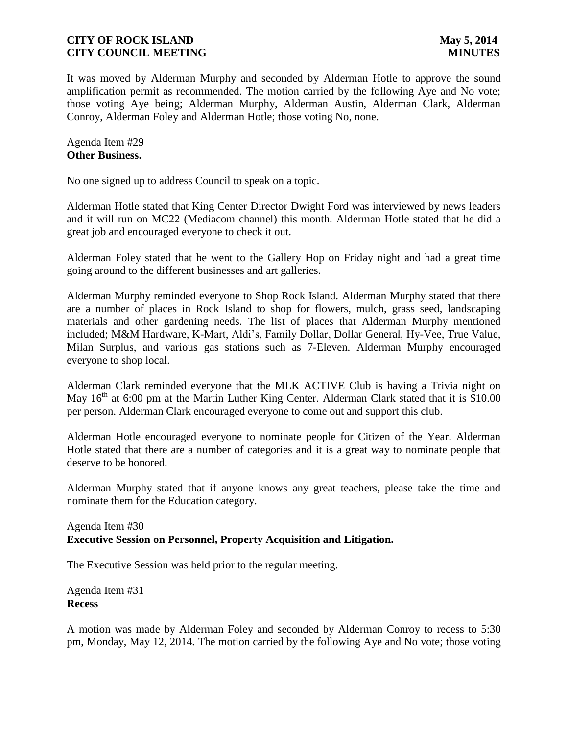It was moved by Alderman Murphy and seconded by Alderman Hotle to approve the sound amplification permit as recommended. The motion carried by the following Aye and No vote; those voting Aye being; Alderman Murphy, Alderman Austin, Alderman Clark, Alderman Conroy, Alderman Foley and Alderman Hotle; those voting No, none.

Agenda Item #29 **Other Business.**

No one signed up to address Council to speak on a topic.

Alderman Hotle stated that King Center Director Dwight Ford was interviewed by news leaders and it will run on MC22 (Mediacom channel) this month. Alderman Hotle stated that he did a great job and encouraged everyone to check it out.

Alderman Foley stated that he went to the Gallery Hop on Friday night and had a great time going around to the different businesses and art galleries.

Alderman Murphy reminded everyone to Shop Rock Island. Alderman Murphy stated that there are a number of places in Rock Island to shop for flowers, mulch, grass seed, landscaping materials and other gardening needs. The list of places that Alderman Murphy mentioned included; M&M Hardware, K-Mart, Aldi's, Family Dollar, Dollar General, Hy-Vee, True Value, Milan Surplus, and various gas stations such as 7-Eleven. Alderman Murphy encouraged everyone to shop local.

Alderman Clark reminded everyone that the MLK ACTIVE Club is having a Trivia night on May 16<sup>th</sup> at 6:00 pm at the Martin Luther King Center. Alderman Clark stated that it is \$10.00 per person. Alderman Clark encouraged everyone to come out and support this club.

Alderman Hotle encouraged everyone to nominate people for Citizen of the Year. Alderman Hotle stated that there are a number of categories and it is a great way to nominate people that deserve to be honored.

Alderman Murphy stated that if anyone knows any great teachers, please take the time and nominate them for the Education category.

## Agenda Item #30 **Executive Session on Personnel, Property Acquisition and Litigation.**

The Executive Session was held prior to the regular meeting.

Agenda Item #31 **Recess**

A motion was made by Alderman Foley and seconded by Alderman Conroy to recess to 5:30 pm, Monday, May 12, 2014. The motion carried by the following Aye and No vote; those voting